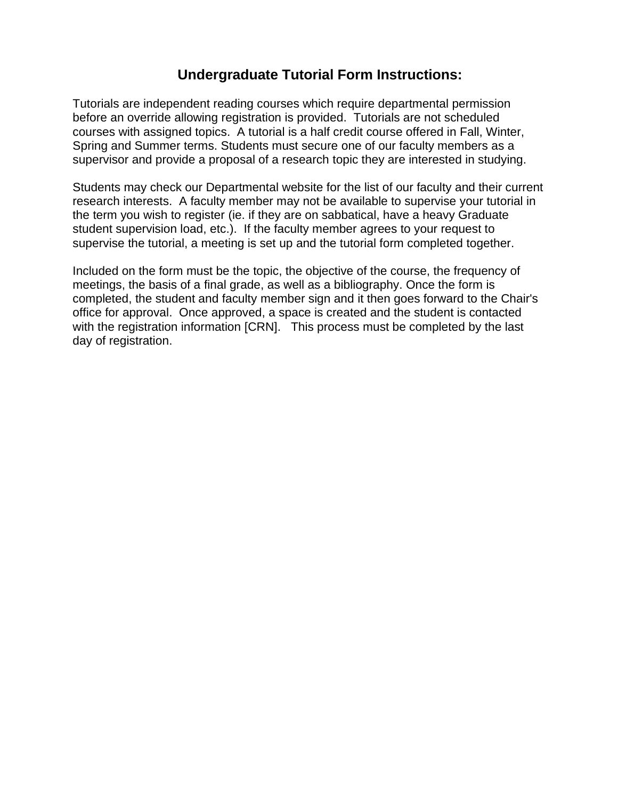## **Undergraduate Tutorial Form Instructions:**

Tutorials are independent reading courses which require departmental permission before an override allowing registration is provided. Tutorials are not scheduled courses with assigned topics. A tutorial is a half credit course offered in Fall, Winter, Spring and Summer terms. Students must secure one of our faculty members as a supervisor and provide a proposal of a research topic they are interested in studying.

Students may check our Departmental website for the list of our faculty and their current research interests. A faculty member may not be available to supervise your tutorial in the term you wish to register (ie. if they are on sabbatical, have a heavy Graduate student supervision load, etc.). If the faculty member agrees to your request to supervise the tutorial, a meeting is set up and the tutorial form completed together.

Included on the form must be the topic, the objective of the course, the frequency of meetings, the basis of a final grade, as well as a bibliography. Once the form is completed, the student and faculty member sign and it then goes forward to the Chair's office for approval. Once approved, a space is created and the student is contacted with the registration information [CRN]. This process must be completed by the last day of registration.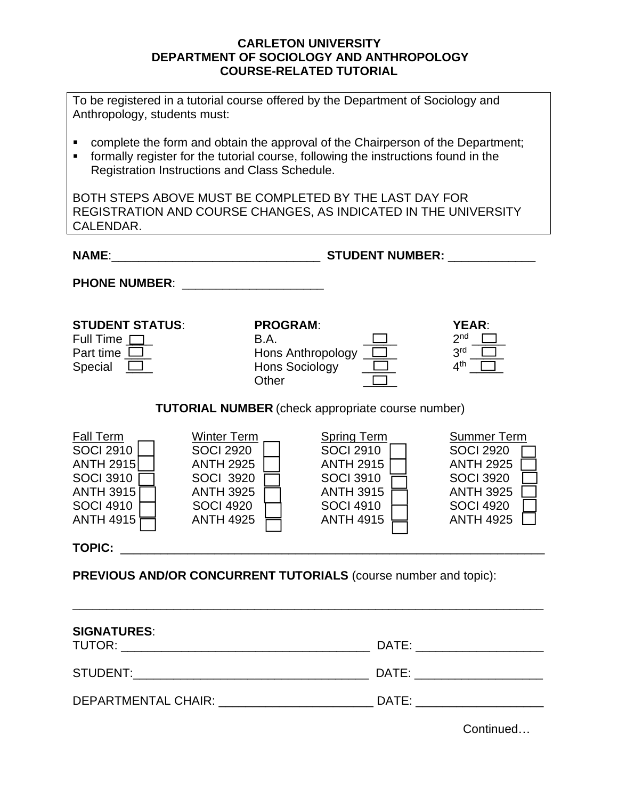## **CARLETON UNIVERSITY DEPARTMENT OF SOCIOLOGY AND ANTHROPOLOGY COURSE-RELATED TUTORIAL**

| To be registered in a tutorial course offered by the Department of Sociology and<br>Anthropology, students must:                                                                                                            |                                                                                                                                            |                                                                                                                                            |                                                                                                                                            |
|-----------------------------------------------------------------------------------------------------------------------------------------------------------------------------------------------------------------------------|--------------------------------------------------------------------------------------------------------------------------------------------|--------------------------------------------------------------------------------------------------------------------------------------------|--------------------------------------------------------------------------------------------------------------------------------------------|
| complete the form and obtain the approval of the Chairperson of the Department;<br>formally register for the tutorial course, following the instructions found in the<br>٠<br>Registration Instructions and Class Schedule. |                                                                                                                                            |                                                                                                                                            |                                                                                                                                            |
| BOTH STEPS ABOVE MUST BE COMPLETED BY THE LAST DAY FOR<br>REGISTRATION AND COURSE CHANGES, AS INDICATED IN THE UNIVERSITY<br>CALENDAR.                                                                                      |                                                                                                                                            |                                                                                                                                            |                                                                                                                                            |
| <b>NAME:</b>                                                                                                                                                                                                                | <b>STUDENT NUMBER:</b><br><u> 2002 - Jan James James Barbara, president politik (</u>                                                      |                                                                                                                                            |                                                                                                                                            |
| <b>PHONE NUMBER:</b>                                                                                                                                                                                                        |                                                                                                                                            |                                                                                                                                            |                                                                                                                                            |
| <b>STUDENT STATUS:</b><br>Full Time $\Box$<br>Part time $\Box$<br>Special $\Box$                                                                                                                                            | <b>PROGRAM:</b><br><b>B.A.</b><br>Hons Anthropology<br>Hons Sociology<br>Other                                                             |                                                                                                                                            | YEAR:<br>2 <sub>nd</sub><br>3 <sup>rd</sup><br>4 <sup>th</sup>                                                                             |
| <b>TUTORIAL NUMBER</b> (check appropriate course number)                                                                                                                                                                    |                                                                                                                                            |                                                                                                                                            |                                                                                                                                            |
| <b>Fall Term</b><br><b>SOCI 2910</b><br><b>ANTH 2915</b><br><b>SOCI 3910</b><br><b>ANTH 3915</b><br><b>SOCI 4910</b><br><b>ANTH 4915</b>                                                                                    | <b>Winter Term</b><br><b>SOCI 2920</b><br><b>ANTH 2925</b><br><b>SOCI 3920</b><br><b>ANTH 3925</b><br><b>SOCI 4920</b><br><b>ANTH 4925</b> | <b>Spring Term</b><br><b>SOCI 2910</b><br><b>ANTH 2915</b><br><b>SOCI 3910</b><br><b>ANTH 3915</b><br><b>SOCI 4910</b><br><b>ANTH 4915</b> | <b>Summer Term</b><br><b>SOCI 2920</b><br><b>ANTH 2925</b><br><b>SOCI 3920</b><br><b>ANTH 3925</b><br><b>SOCI 4920</b><br><b>ANTH 4925</b> |
|                                                                                                                                                                                                                             | TOPIC: <u>_________________________________</u>                                                                                            |                                                                                                                                            |                                                                                                                                            |
| PREVIOUS AND/OR CONCURRENT TUTORIALS (course number and topic):                                                                                                                                                             |                                                                                                                                            |                                                                                                                                            |                                                                                                                                            |
| <b>SIGNATURES:</b><br>DATE: ___________<br>TUTOR: __________________________                                                                                                                                                |                                                                                                                                            |                                                                                                                                            |                                                                                                                                            |

DEPARTMENTAL CHAIR: \_\_\_\_\_\_\_\_\_\_\_\_\_\_\_\_\_\_\_\_\_\_\_ DATE: \_\_\_\_\_\_\_\_\_\_\_\_\_\_\_\_\_\_\_

STUDENT:\_\_\_\_\_\_\_\_\_\_\_\_\_\_\_\_\_\_\_\_\_\_\_\_\_\_\_\_\_\_\_\_\_\_\_ DATE: \_\_\_\_\_\_\_\_\_\_\_\_\_\_\_\_\_\_\_

Continued…